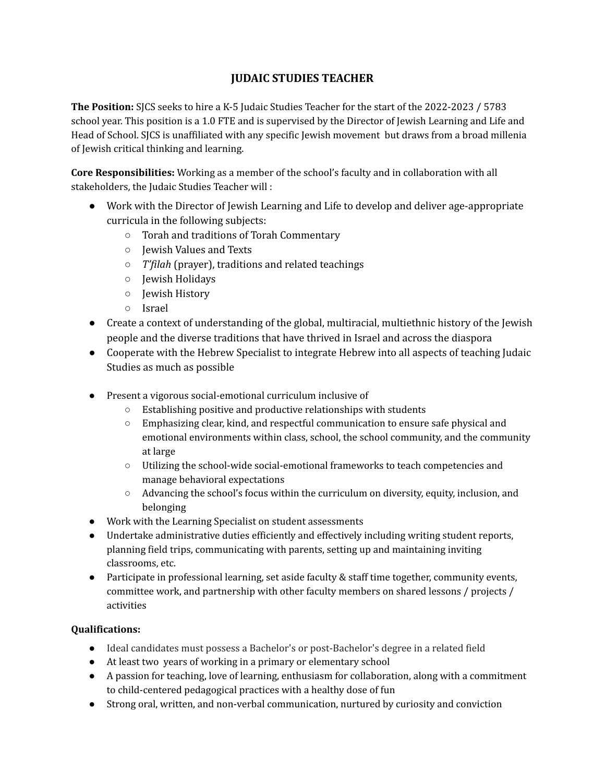## **JUDAIC STUDIES TEACHER**

**The Position:** SJCS seeks to hire a K-5 Judaic Studies Teacher for the start of the 2022-2023 / 5783 school year. This position is a 1.0 FTE and is supervised by the Director of Jewish Learning and Life and Head of School. SJCS is unaffiliated with any specific Jewish movement but draws from a broad millenia of Jewish critical thinking and learning.

**Core Responsibilities:** Working as a member of the school's faculty and in collaboration with all stakeholders, the Judaic Studies Teacher will :

- Work with the Director of Jewish Learning and Life to develop and deliver age-appropriate curricula in the following subjects:
	- Torah and traditions of Torah Commentary
	- Jewish Values and Texts
	- *T'filah* (prayer), traditions and related teachings
	- Jewish Holidays
	- Jewish History
	- Israel
- Create a context of understanding of the global, multiracial, multiethnic history of the Jewish people and the diverse traditions that have thrived in Israel and across the diaspora
- Cooperate with the Hebrew Specialist to integrate Hebrew into all aspects of teaching Judaic Studies as much as possible
- Present a vigorous social-emotional curriculum inclusive of
	- Establishing positive and productive relationships with students
	- Emphasizing clear, kind, and respectful communication to ensure safe physical and emotional environments within class, school, the school community, and the community at large
	- Utilizing the school-wide social-emotional frameworks to teach competencies and manage behavioral expectations
	- Advancing the school's focus within the curriculum on diversity, equity, inclusion, and belonging
- Work with the Learning Specialist on student assessments
- Undertake administrative duties efficiently and effectively including writing student reports, planning field trips, communicating with parents, setting up and maintaining inviting classrooms, etc.
- Participate in professional learning, set aside faculty & staff time together, community events, committee work, and partnership with other faculty members on shared lessons / projects / activities

## **Qualifications:**

- Ideal candidates must possess a Bachelor's or post-Bachelor's degree in a related field
- At least two years of working in a primary or elementary school
- A passion for teaching, love of learning, enthusiasm for collaboration, along with a commitment to child-centered pedagogical practices with a healthy dose of fun
- Strong oral, written, and non-verbal communication, nurtured by curiosity and conviction